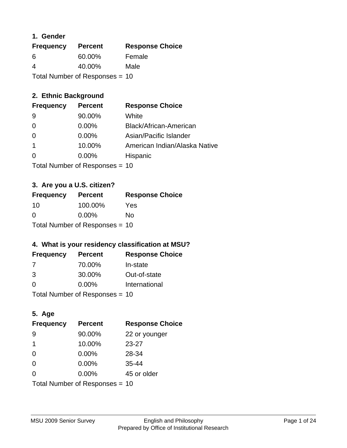### **1. Gender**

| <b>Frequency</b> | <b>Percent</b>                 | <b>Response Choice</b> |
|------------------|--------------------------------|------------------------|
| 6                | 60.00%                         | Female                 |
| 4                | 40.00%                         | Male                   |
|                  | Total Number of Responses = 10 |                        |

## **2. Ethnic Background**

| <b>Frequency</b> | <b>Percent</b> | <b>Response Choice</b>        |
|------------------|----------------|-------------------------------|
| -9               | 90.00%         | White                         |
| $\Omega$         | $0.00\%$       | Black/African-American        |
| -0               | $0.00\%$       | Asian/Pacific Islander        |
|                  | 10.00%         | American Indian/Alaska Native |
| 0                | 0.00%          | Hispanic                      |
|                  |                |                               |

Total Number of Responses = 10

## **3. Are you a U.S. citizen?**

| <b>Frequency</b>               | <b>Percent</b> | <b>Response Choice</b> |
|--------------------------------|----------------|------------------------|
| -10                            | 100.00%        | Yes                    |
| $\Omega$                       | $0.00\%$       | Nο                     |
| Total Number of Responses = 10 |                |                        |

### **4. What is your residency classification at MSU?**

| <b>Frequency</b> | <b>Percent</b> | <b>Response Choice</b> |
|------------------|----------------|------------------------|
|                  | 70.00%         | In-state               |
| 3                | 30.00%         | Out-of-state           |
| $\Omega$         | $0.00\%$       | International          |
|                  |                |                        |

Total Number of Responses = 10

## **5. Age**

| <b>Frequency</b>               | <b>Percent</b> | <b>Response Choice</b> |
|--------------------------------|----------------|------------------------|
| -9                             | 90.00%         | 22 or younger          |
| 1                              | 10.00%         | $23 - 27$              |
| $\overline{0}$                 | 0.00%          | 28-34                  |
| $\Omega$                       | 0.00%          | $35 - 44$              |
| $\Omega$                       | 0.00%          | 45 or older            |
| Total Number of Responses = 10 |                |                        |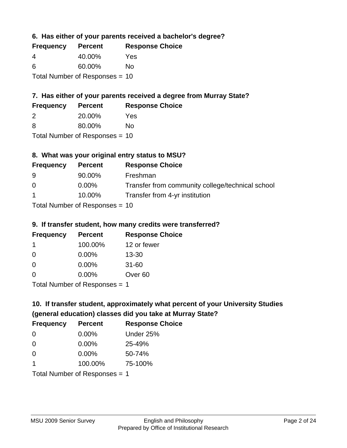**6. Has either of your parents received a bachelor's degree?**

| <b>Frequency</b> | <b>Percent</b>                   | <b>Response Choice</b> |
|------------------|----------------------------------|------------------------|
| 4                | 40.00%                           | Yes                    |
| 6                | 60.00%                           | Nο                     |
|                  | Total Number of Responses $= 10$ |                        |

## **7. Has either of your parents received a degree from Murray State?**

| <b>Frequency</b> | <b>Percent</b> | <b>Response Choice</b> |
|------------------|----------------|------------------------|
| -2               | 20.00%         | Yes                    |
| -8               | 80.00%         | No.                    |

Total Number of Responses = 10

## **8. What was your original entry status to MSU?**

| <b>Frequency</b> | <b>Percent</b>                    | <b>Response Choice</b>                           |
|------------------|-----------------------------------|--------------------------------------------------|
| -9               | 90.00%                            | Freshman                                         |
| 0                | $0.00\%$                          | Transfer from community college/technical school |
| $\overline{1}$   | 10.00%                            | Transfer from 4-yr institution                   |
|                  | $Total Number of DoEROR 202 - 40$ |                                                  |

Total Number of Responses = 10

### **9. If transfer student, how many credits were transferred?**

| <b>Frequency</b>              | <b>Percent</b> | <b>Response Choice</b> |
|-------------------------------|----------------|------------------------|
| 1                             | 100.00%        | 12 or fewer            |
| 0                             | $0.00\%$       | $13 - 30$              |
| 0                             | 0.00%          | $31 - 60$              |
| $\Omega$                      | 0.00%          | Over <sub>60</sub>     |
| Total Number of Poenances - 1 |                |                        |

I otal Number of Responses = 1

# **10. If transfer student, approximately what percent of your University Studies (general education) classes did you take at Murray State?**

| <b>Frequency</b>                | <b>Percent</b> | <b>Response Choice</b> |
|---------------------------------|----------------|------------------------|
| $\Omega$                        | $0.00\%$       | Under 25%              |
| $\Omega$                        | 0.00%          | 25-49%                 |
| $\Omega$                        | 0.00%          | 50-74%                 |
| 1                               | 100.00%        | 75-100%                |
| Total Number of Responses $= 1$ |                |                        |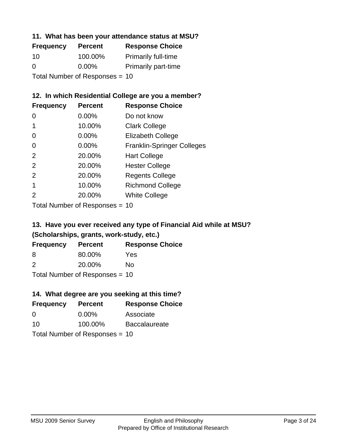### **11. What has been your attendance status at MSU?**

| <b>Frequency</b>               | <b>Percent</b> | <b>Response Choice</b>     |
|--------------------------------|----------------|----------------------------|
| 10                             | 100.00%        | <b>Primarily full-time</b> |
| 0                              | $0.00\%$       | <b>Primarily part-time</b> |
| Total Number of Responses = 10 |                |                            |

## **12. In which Residential College are you a member?**

| <b>Frequency</b> | <b>Percent</b> | <b>Response Choice</b>            |
|------------------|----------------|-----------------------------------|
| 0                | $0.00\%$       | Do not know                       |
|                  | 10.00%         | <b>Clark College</b>              |
| 0                | 0.00%          | <b>Elizabeth College</b>          |
| 0                | $0.00\%$       | <b>Franklin-Springer Colleges</b> |
| 2                | 20.00%         | <b>Hart College</b>               |
| 2                | 20.00%         | <b>Hester College</b>             |
| 2                | 20.00%         | <b>Regents College</b>            |
|                  | 10.00%         | <b>Richmond College</b>           |
| 2                | 20.00%         | <b>White College</b>              |

Total Number of Responses = 10

## **13. Have you ever received any type of Financial Aid while at MSU? (Scholarships, grants, work-study, etc.)**

| <b>Frequency</b> | <b>Percent</b>                   | <b>Response Choice</b> |
|------------------|----------------------------------|------------------------|
| 8                | 80.00%                           | Yes                    |
| $\mathcal{P}$    | 20.00%                           | Nο                     |
|                  | Total Number of Responses = $10$ |                        |

**14. What degree are you seeking at this time?**

| <b>Frequency</b> | <b>Percent</b>                 | <b>Response Choice</b> |
|------------------|--------------------------------|------------------------|
| 0                | $0.00\%$                       | Associate              |
| 10               | 100.00%                        | <b>Baccalaureate</b>   |
|                  | Total Number of Responses = 10 |                        |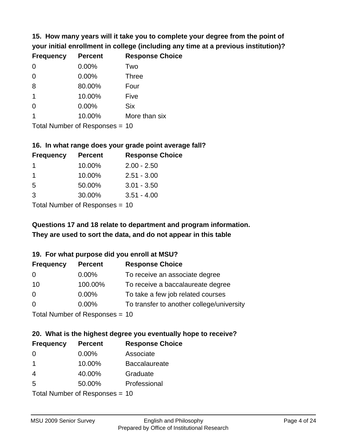**15. How many years will it take you to complete your degree from the point of your initial enrollment in college (including any time at a previous institution)?**

| <b>Frequency</b> | <b>Percent</b> | <b>Response Choice</b> |
|------------------|----------------|------------------------|
| 0                | 0.00%          | Two                    |
| $\overline{0}$   | 0.00%          | <b>Three</b>           |
| 8                | 80.00%         | Four                   |
| $\mathbf 1$      | 10.00%         | Five                   |
| 0                | 0.00%          | <b>Six</b>             |
|                  | 10.00%         | More than six          |
|                  |                |                        |

Total Number of Responses = 10

#### **16. In what range does your grade point average fall?**

| <b>Frequency</b> | <b>Percent</b> | <b>Response Choice</b> |
|------------------|----------------|------------------------|
|                  | 10.00%         | $2.00 - 2.50$          |
|                  | 10.00%         | $2.51 - 3.00$          |
| -5               | 50.00%         | $3.01 - 3.50$          |
| 3                | 30.00%         | $3.51 - 4.00$          |
|                  |                |                        |

Total Number of Responses = 10

## **They are used to sort the data, and do not appear in this table Questions 17 and 18 relate to department and program information.**

### **19. For what purpose did you enroll at MSU?**

| <b>Frequency</b> | <b>Percent</b>                  | <b>Response Choice</b>                    |
|------------------|---------------------------------|-------------------------------------------|
| 0                | $0.00\%$                        | To receive an associate degree            |
| 10               | 100.00%                         | To receive a baccalaureate degree         |
| 0                | $0.00\%$                        | To take a few job related courses         |
| $\Omega$         | $0.00\%$                        | To transfer to another college/university |
|                  | Total Number of Reconnect $-10$ |                                           |

Total Number of Responses = 10

# **20. What is the highest degree you eventually hope to receive?**

| <b>Frequency</b> | <b>Percent</b>            | <b>Response Choice</b> |
|------------------|---------------------------|------------------------|
| 0                | $0.00\%$                  | Associate              |
| $\mathbf 1$      | 10.00%                    | <b>Baccalaureate</b>   |
| $\overline{4}$   | 40.00%                    | Graduate               |
| 5                | 50.00%                    | Professional           |
|                  | Total Number of Desponses |                        |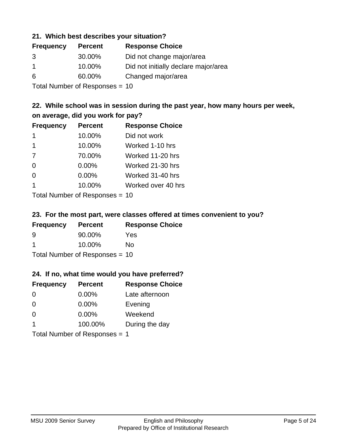### **21. Which best describes your situation?**

| <b>Frequency</b> | <b>Percent</b> | <b>Response Choice</b>               |
|------------------|----------------|--------------------------------------|
| 3                | 30.00%         | Did not change major/area            |
|                  | 10.00%         | Did not initially declare major/area |
| 6                | 60.00%         | Changed major/area                   |
|                  |                |                                      |

Total Number of Responses = 10

## **22. While school was in session during the past year, how many hours per week, on average, did you work for pay?**

| <b>Frequency</b> | <b>Percent</b> | <b>Response Choice</b> |
|------------------|----------------|------------------------|
| -1               | 10.00%         | Did not work           |
| 1                | 10.00%         | Worked 1-10 hrs        |
| 7                | 70.00%         | Worked 11-20 hrs       |
| $\Omega$         | 0.00%          | Worked 21-30 hrs       |
| $\Omega$         | 0.00%          | Worked 31-40 hrs       |
| $\mathbf 1$      | 10.00%         | Worked over 40 hrs     |
|                  |                |                        |

Total Number of Responses = 10

### **23. For the most part, were classes offered at times convenient to you?**

| <b>Frequency</b> | <b>Percent</b>                   | <b>Response Choice</b> |
|------------------|----------------------------------|------------------------|
| 9                | 90.00%                           | Yes                    |
| -1               | 10.00%                           | Nο                     |
|                  | Total Number of Responses = $10$ |                        |

### **24. If no, what time would you have preferred?**

| <b>Frequency</b>              | <b>Percent</b> | <b>Response Choice</b> |
|-------------------------------|----------------|------------------------|
| $\Omega$                      | $0.00\%$       | Late afternoon         |
| $\Omega$                      | $0.00\%$       | Evening                |
| $\Omega$                      | $0.00\%$       | Weekend                |
| $\overline{\mathbf{1}}$       | 100.00%        | During the day         |
| Total Number of Responses = 1 |                |                        |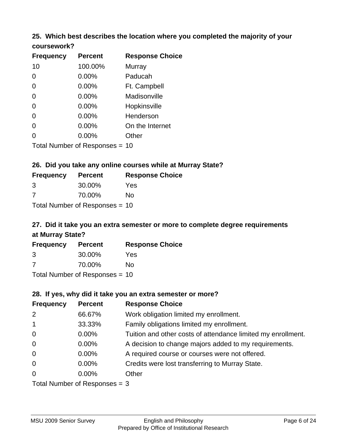# **25. Which best describes the location where you completed the majority of your**

| coursework? |
|-------------|
|-------------|

| <b>Frequency</b> | <b>Percent</b>                 | <b>Response Choice</b> |
|------------------|--------------------------------|------------------------|
| 10               | 100.00%                        | Murray                 |
| 0                | 0.00%                          | Paducah                |
| 0                | 0.00%                          | Ft. Campbell           |
| 0                | 0.00%                          | Madisonville           |
| 0                | 0.00%                          | Hopkinsville           |
| 0                | 0.00%                          | Henderson              |
| 0                | 0.00%                          | On the Internet        |
| 0                | 0.00%                          | Other                  |
|                  | Total Number of Responses = 10 |                        |

## **26. Did you take any online courses while at Murray State?**

| <b>Frequency</b> | <b>Percent</b>                 | <b>Response</b> |
|------------------|--------------------------------|-----------------|
| 3                | 30.00%                         | Yes             |
| -7               | 70.00%                         | No              |
|                  | Total Number of Responses = 10 |                 |

# **27. Did it take you an extra semester or more to complete degree requirements at Murray State?**

**Choice** 

| <b>Frequency</b> | <b>Percent</b>                   | <b>Response Choice</b> |
|------------------|----------------------------------|------------------------|
| 3                | 30.00%                           | Yes                    |
| 7                | 70.00%                           | No                     |
|                  | Total Number of Responses = $10$ |                        |

**28. If yes, why did it take you an extra semester or more?**

| <b>Frequency</b> | <b>Percent</b>                  | <b>Response Choice</b>                                       |
|------------------|---------------------------------|--------------------------------------------------------------|
| 2                | 66.67%                          | Work obligation limited my enrollment.                       |
| $\mathbf{1}$     | 33.33%                          | Family obligations limited my enrollment.                    |
| $\overline{0}$   | $0.00\%$                        | Tuition and other costs of attendance limited my enrollment. |
| $\mathbf 0$      | $0.00\%$                        | A decision to change majors added to my requirements.        |
| $\mathbf 0$      | 0.00%                           | A required course or courses were not offered.               |
| $\mathbf 0$      | $0.00\%$                        | Credits were lost transferring to Murray State.              |
| $\mathbf 0$      | $0.00\%$                        | Other                                                        |
|                  | Total Number of Responses $=$ 3 |                                                              |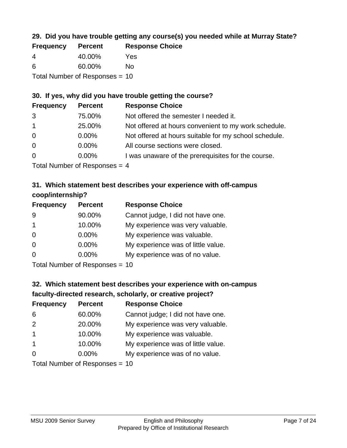## **29. Did you have trouble getting any course(s) you needed while at Murray State?**

| <b>Frequency</b>               | <b>Percent</b> | <b>Response Choice</b> |  |
|--------------------------------|----------------|------------------------|--|
| -4                             | 40.00%         | Yes                    |  |
| -6                             | 60.00%         | Nο                     |  |
| Total Number of Responses = 10 |                |                        |  |

## **30. If yes, why did you have trouble getting the course?**

| <b>Frequency</b> | <b>Percent</b>                                  | <b>Response Choice</b>                                |
|------------------|-------------------------------------------------|-------------------------------------------------------|
| 3                | 75.00%                                          | Not offered the semester I needed it.                 |
| $\mathbf{1}$     | 25.00%                                          | Not offered at hours convenient to my work schedule.  |
| $\overline{0}$   | $0.00\%$                                        | Not offered at hours suitable for my school schedule. |
| $\overline{0}$   | $0.00\%$                                        | All course sections were closed.                      |
| $\overline{0}$   | $0.00\%$                                        | I was unaware of the prerequisites for the course.    |
|                  | $\tau$ . The set of $\tau$ is the set of $\tau$ |                                                       |

Total Number of Responses = 4

## **31. Which statement best describes your experience with off-campus coop/internship?**

| <b>Frequency</b> | <b>Percent</b> | <b>Response Choice</b>             |
|------------------|----------------|------------------------------------|
| 9                | 90.00%         | Cannot judge, I did not have one.  |
| $\mathbf 1$      | 10.00%         | My experience was very valuable.   |
| $\Omega$         | $0.00\%$       | My experience was valuable.        |
| $\Omega$         | $0.00\%$       | My experience was of little value. |
| $\Omega$         | 0.00%          | My experience was of no value.     |
|                  |                |                                    |

Total Number of Responses = 10

# **32. Which statement best describes your experience with on-campus faculty-directed research, scholarly, or creative project?**

| <b>Frequency</b> | <b>Percent</b>                 | <b>Response Choice</b>             |
|------------------|--------------------------------|------------------------------------|
| 6                | 60.00%                         | Cannot judge; I did not have one.  |
| 2                | 20.00%                         | My experience was very valuable.   |
| $\overline{1}$   | 10.00%                         | My experience was valuable.        |
| $\overline{1}$   | 10.00%                         | My experience was of little value. |
| $\Omega$         | $0.00\%$                       | My experience was of no value.     |
|                  | $Total Number of Denonce - 10$ |                                    |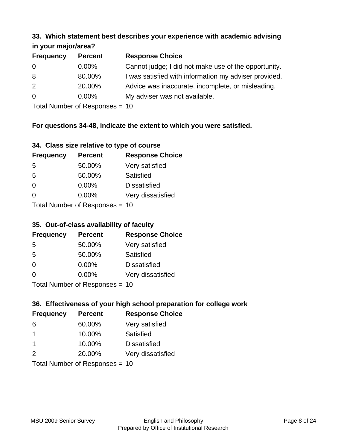#### **33. Which statement best describes your experience with academic advising in your major/area?**

| $\cdots$ your mapproved. |                |                                                       |
|--------------------------|----------------|-------------------------------------------------------|
| <b>Frequency</b>         | <b>Percent</b> | <b>Response Choice</b>                                |
| 0                        | $0.00\%$       | Cannot judge; I did not make use of the opportunity.  |
| 8                        | 80.00%         | I was satisfied with information my adviser provided. |
| 2                        | 20.00%         | Advice was inaccurate, incomplete, or misleading.     |
| 0                        | $0.00\%$       | My adviser was not available.                         |
|                          |                |                                                       |

Total Number of Responses = 10

## **For questions 34-48, indicate the extent to which you were satisfied.**

| 34. Class size relative to type of course |  |  |  |  |  |  |  |  |
|-------------------------------------------|--|--|--|--|--|--|--|--|
|-------------------------------------------|--|--|--|--|--|--|--|--|

| <b>Frequency</b> | <b>Percent</b>                 | <b>Response Choice</b> |
|------------------|--------------------------------|------------------------|
| -5               | 50.00%                         | Very satisfied         |
| .5               | 50.00%                         | Satisfied              |
| $\Omega$         | $0.00\%$                       | <b>Dissatisfied</b>    |
| $\Omega$         | $0.00\%$                       | Very dissatisfied      |
|                  | Total Number of Reconnege - 10 |                        |

Total Number of Responses = 10

### **35. Out-of-class availability of faculty**

| <b>Frequency</b> | <b>Percent</b>           | <b>Response Choice</b> |
|------------------|--------------------------|------------------------|
| 5                | 50.00%                   | Very satisfied         |
| 5                | 50.00%                   | Satisfied              |
| $\Omega$         | $0.00\%$                 | <b>Dissatisfied</b>    |
| $\Omega$         | $0.00\%$                 | Very dissatisfied      |
|                  | Total Number of DoEROR 0 |                        |

Total Number of Responses = 10

## **36. Effectiveness of your high school preparation for college work**

| <b>Frequency</b>               | <b>Percent</b> | <b>Response Choice</b> |  |  |
|--------------------------------|----------------|------------------------|--|--|
| 6                              | 60.00%         | Very satisfied         |  |  |
| -1                             | 10.00%         | Satisfied              |  |  |
| $\mathbf 1$                    | 10.00%         | <b>Dissatisfied</b>    |  |  |
| 2                              | 20.00%         | Very dissatisfied      |  |  |
| Total Number of Responses = 10 |                |                        |  |  |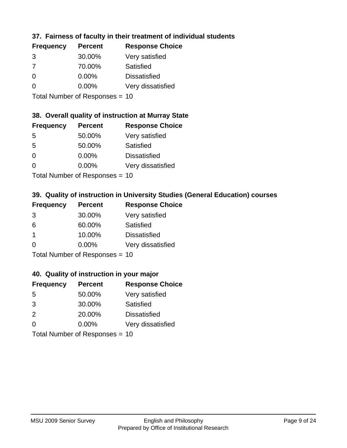## **37. Fairness of faculty in their treatment of individual students**

| <b>Frequency</b> | <b>Percent</b> | <b>Response Choice</b> |
|------------------|----------------|------------------------|
| 3                | 30.00%         | Very satisfied         |
| 7                | 70.00%         | Satisfied              |
| $\Omega$         | $0.00\%$       | <b>Dissatisfied</b>    |
| ∩                | 0.00%          | Very dissatisfied      |
|                  |                |                        |

Total Number of Responses = 10

### **38. Overall quality of instruction at Murray State**

| <b>Frequency</b> | <b>Percent</b>                                                                                                 | <b>Response Choice</b> |
|------------------|----------------------------------------------------------------------------------------------------------------|------------------------|
| .5               | 50.00%                                                                                                         | Very satisfied         |
| 5                | 50.00%                                                                                                         | Satisfied              |
| $\Omega$         | 0.00%                                                                                                          | <b>Dissatisfied</b>    |
| $\Omega$         | 0.00%                                                                                                          | Very dissatisfied      |
|                  | The INDIAN Contract Contract in the Contract of Contract of Contract of Contract of Contract of Contract of Co |                        |

Total Number of Responses = 10

## **39. Quality of instruction in University Studies (General Education) courses**

| <b>Frequency</b>          | <b>Percent</b> | <b>Response Choice</b> |
|---------------------------|----------------|------------------------|
| 3                         | 30.00%         | Very satisfied         |
| 6                         | 60.00%         | Satisfied              |
| -1                        | 10.00%         | <b>Dissatisfied</b>    |
| $\Omega$                  | 0.00%          | Very dissatisfied      |
| Total Number of Desponses |                |                        |

Total Number of Responses = 10

#### **40. Quality of instruction in your major**

| <b>Frequency</b> | <b>Percent</b>              | <b>Response Choice</b> |
|------------------|-----------------------------|------------------------|
| 5                | 50.00%                      | Very satisfied         |
| 3                | 30.00%                      | Satisfied              |
| 2                | 20.00%                      | <b>Dissatisfied</b>    |
| $\Omega$         | $0.00\%$                    | Very dissatisfied      |
|                  | Tatal Massakan af Dagmannar |                        |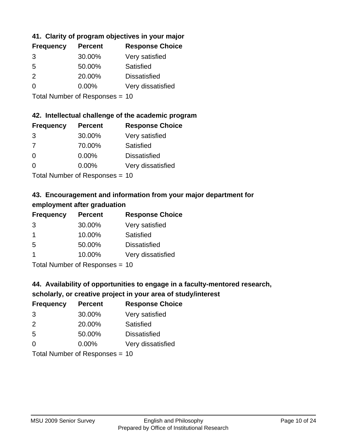## **41. Clarity of program objectives in your major**

| <b>Frequency</b> | <b>Percent</b> | <b>Response Choice</b> |
|------------------|----------------|------------------------|
| 3                | 30.00%         | Very satisfied         |
| .5               | 50.00%         | Satisfied              |
| $\mathcal{P}$    | 20.00%         | <b>Dissatisfied</b>    |
|                  | $0.00\%$       | Very dissatisfied      |
|                  |                |                        |

Total Number of Responses = 10

### **42. Intellectual challenge of the academic program**

| <b>Frequency</b> | <b>Percent</b> | <b>Response Choice</b> |
|------------------|----------------|------------------------|
| 3                | 30.00%         | Very satisfied         |
| 7                | 70.00%         | Satisfied              |
| $\Omega$         | $0.00\%$       | <b>Dissatisfied</b>    |
| $\Omega$         | 0.00%          | Very dissatisfied      |
|                  |                |                        |

Total Number of Responses = 10

## **43. Encouragement and information from your major department for employment after graduation**

| <b>Frequency</b> | <b>Percent</b> | <b>Response Choice</b> |
|------------------|----------------|------------------------|
| 3                | 30.00%         | Very satisfied         |
| $\mathbf 1$      | 10.00%         | Satisfied              |
| 5                | 50.00%         | <b>Dissatisfied</b>    |
| -1               | 10.00%         | Very dissatisfied      |
|                  |                |                        |

Total Number of Responses = 10

# **44. Availability of opportunities to engage in a faculty-mentored research,**

### **scholarly, or creative project in your area of study/interest**

| <b>Frequency</b> | <b>Percent</b>                                                                                                  | <b>Response Choice</b> |
|------------------|-----------------------------------------------------------------------------------------------------------------|------------------------|
| 3                | 30.00%                                                                                                          | Very satisfied         |
| 2                | 20.00%                                                                                                          | Satisfied              |
| 5                | 50.00%                                                                                                          | <b>Dissatisfied</b>    |
| $\Omega$         | 0.00%                                                                                                           | Very dissatisfied      |
|                  | The Little and the Little Communication of the Communication of the Communication of the Communication of the U |                        |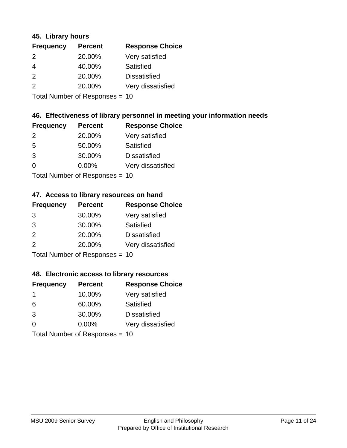### **45. Library hours**

| <b>Frequency</b> | <b>Percent</b> | <b>Response Choice</b> |
|------------------|----------------|------------------------|
| 2                | 20.00%         | Very satisfied         |
| $\overline{4}$   | 40.00%         | Satisfied              |
| 2                | 20.00%         | <b>Dissatisfied</b>    |
| 2                | 20.00%         | Very dissatisfied      |
|                  |                |                        |

Total Number of Responses = 10

### **46. Effectiveness of library personnel in meeting your information needs**

| <b>Frequency</b> | <b>Percent</b> | <b>Response Choice</b> |
|------------------|----------------|------------------------|
| $\mathcal{P}$    | 20.00%         | Very satisfied         |
| .5               | 50.00%         | Satisfied              |
| 3                | 30.00%         | <b>Dissatisfied</b>    |
| $\Omega$         | 0.00%          | Very dissatisfied      |
|                  |                |                        |

Total Number of Responses = 10

### **47. Access to library resources on hand**

| <b>Frequency</b> | <b>Percent</b>             | <b>Response Choice</b> |
|------------------|----------------------------|------------------------|
| 3                | 30.00%                     | Very satisfied         |
| 3                | 30.00%                     | Satisfied              |
| 2                | 20.00%                     | <b>Dissatisfied</b>    |
| 2                | 20.00%                     | Very dissatisfied      |
|                  | Tetal Number of Desperance |                        |

Total Number of Responses = 10

### **48. Electronic access to library resources**

| <b>Frequency</b> | <b>Percent</b>                 | <b>Response Choice</b> |
|------------------|--------------------------------|------------------------|
| $\mathbf 1$      | 10.00%                         | Very satisfied         |
| 6                | 60.00%                         | Satisfied              |
| 3                | 30.00%                         | <b>Dissatisfied</b>    |
| $\Omega$         | $0.00\%$                       | Very dissatisfied      |
|                  | Total Number of Responses = 10 |                        |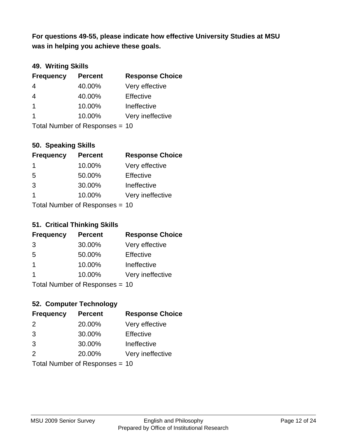**was in helping you achieve these goals. For questions 49-55, please indicate how effective University Studies at MSU** 

## **49. Writing Skills**

| <b>Frequency</b>        | <b>Percent</b>                 | <b>Response Choice</b> |
|-------------------------|--------------------------------|------------------------|
| $\overline{4}$          | 40.00%                         | Very effective         |
| $\overline{4}$          | 40.00%                         | Effective              |
| $\overline{1}$          | 10.00%                         | Ineffective            |
| $\overline{\mathbf{1}}$ | 10.00%                         | Very ineffective       |
|                         | Total Number of Responses = 10 |                        |

### **50. Speaking Skills**

| <b>Frequency</b>               | <b>Percent</b> | <b>Response Choice</b> |
|--------------------------------|----------------|------------------------|
| -1                             | 10.00%         | Very effective         |
| 5                              | 50.00%         | Effective              |
| 3                              | 30.00%         | Ineffective            |
| $\overline{1}$                 | 10.00%         | Very ineffective       |
| Total Number of Poenances - 10 |                |                        |

Total Number of Responses = 10

### **51. Critical Thinking Skills**

| <b>Frequency</b> | <b>Percent</b>            | <b>Response Choice</b> |
|------------------|---------------------------|------------------------|
| 3                | 30.00%                    | Very effective         |
| 5                | 50.00%                    | Effective              |
| $\mathbf 1$      | 10.00%                    | Ineffective            |
| -1               | 10.00%                    | Very ineffective       |
|                  | Total Number of DoEROR 0. |                        |

Total Number of Responses = 10

## **52. Computer Technology**

| <b>Frequency</b>               | <b>Percent</b> | <b>Response Choice</b> |
|--------------------------------|----------------|------------------------|
| $\mathcal{P}$                  | 20.00%         | Very effective         |
| 3                              | 30.00%         | Effective              |
| 3                              | 30.00%         | Ineffective            |
| $\mathcal{P}$                  | 20.00%         | Very ineffective       |
| Total Number of Responses = 10 |                |                        |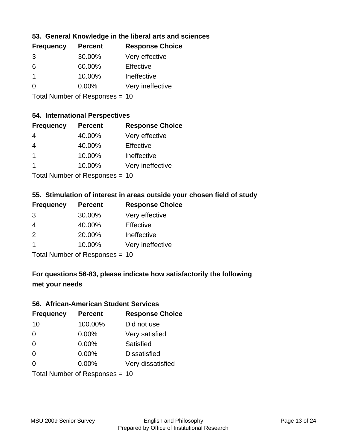## **53. General Knowledge in the liberal arts and sciences**

| <b>Frequency</b> | <b>Percent</b> | <b>Response Choice</b> |
|------------------|----------------|------------------------|
| 3                | 30.00%         | Very effective         |
| 6                | 60.00%         | Effective              |
|                  | 10.00%         | Ineffective            |
| $\Omega$         | $0.00\%$       | Very ineffective       |
|                  |                |                        |

Total Number of Responses = 10

#### **54. International Perspectives**

| <b>Frequency</b>                                        | <b>Percent</b> | <b>Response Choice</b> |
|---------------------------------------------------------|----------------|------------------------|
| 4                                                       | 40.00%         | Very effective         |
| 4                                                       | 40.00%         | Effective              |
| $\overline{1}$                                          | 10.00%         | Ineffective            |
| -1                                                      | 10.00%         | Very ineffective       |
| $T$ at all Message and $R$ $\sim$ and $\sim$ and $\sim$ |                |                        |

Total Number of Responses = 10

### **55. Stimulation of interest in areas outside your chosen field of study**

| <b>Frequency</b> | <b>Percent</b>            | <b>Response Choice</b> |
|------------------|---------------------------|------------------------|
| 3                | 30.00%                    | Very effective         |
| 4                | 40.00%                    | Effective              |
| $\mathcal{P}$    | 20.00%                    | Ineffective            |
| -1               | 10.00%                    | Very ineffective       |
|                  | Total Number of Desponses |                        |

Total Number of Responses = 10

## **For questions 56-83, please indicate how satisfactorily the following met your needs**

#### **56. African-American Student Services**

| <b>Frequency</b> | <b>Percent</b>                 | <b>Response Choice</b> |
|------------------|--------------------------------|------------------------|
| 10               | 100.00%                        | Did not use            |
| $\Omega$         | 0.00%                          | Very satisfied         |
| $\Omega$         | 0.00%                          | <b>Satisfied</b>       |
| $\Omega$         | $0.00\%$                       | <b>Dissatisfied</b>    |
| $\Omega$         | 0.00%                          | Very dissatisfied      |
|                  | Total Number of Responses = 10 |                        |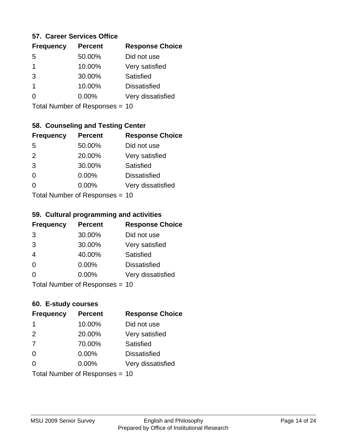### **57. Career Services Office**

| <b>Frequency</b> | <b>Percent</b> | <b>Response Choice</b> |
|------------------|----------------|------------------------|
| .5               | 50.00%         | Did not use            |
| 1                | 10.00%         | Very satisfied         |
| 3                | 30.00%         | Satisfied              |
| 1                | 10.00%         | <b>Dissatisfied</b>    |
|                  | $0.00\%$       | Very dissatisfied      |
|                  |                |                        |

Total Number of Responses = 10

## **58. Counseling and Testing Center**

| <b>Frequency</b> | <b>Percent</b>            | <b>Response Choice</b> |
|------------------|---------------------------|------------------------|
| -5               | 50.00%                    | Did not use            |
| 2                | 20.00%                    | Very satisfied         |
| 3                | 30.00%                    | Satisfied              |
| $\Omega$         | 0.00%                     | <b>Dissatisfied</b>    |
| ∩                | 0.00%                     | Very dissatisfied      |
|                  | Total Number of Desponses |                        |

Total Number of Responses = 10

#### **59. Cultural programming and activities**

| <b>Frequency</b> | <b>Percent</b>                 | <b>Response Choice</b> |
|------------------|--------------------------------|------------------------|
| 3                | 30.00%                         | Did not use            |
| 3                | 30.00%                         | Very satisfied         |
| $\overline{4}$   | 40.00%                         | Satisfied              |
| $\Omega$         | $0.00\%$                       | <b>Dissatisfied</b>    |
| $\Omega$         | $0.00\%$                       | Very dissatisfied      |
|                  | Total Number of Responses = 10 |                        |

### **60. E-study courses**

| <b>Frequency</b> | <b>Percent</b>                 | <b>Response Choice</b> |
|------------------|--------------------------------|------------------------|
| -1               | 10.00%                         | Did not use            |
| 2                | 20.00%                         | Very satisfied         |
| 7                | 70.00%                         | Satisfied              |
| $\Omega$         | 0.00%                          | <b>Dissatisfied</b>    |
| ∩                | $0.00\%$                       | Very dissatisfied      |
|                  | Total Number of Responses = 10 |                        |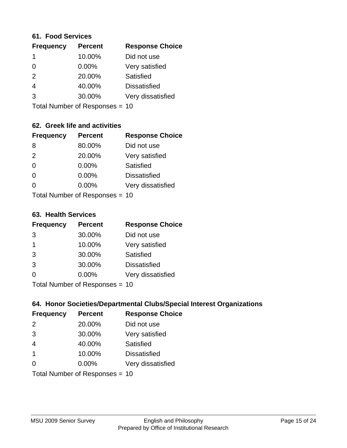#### **61. Food Services**

| <b>Frequency</b> | <b>Percent</b> | <b>Response Choice</b> |
|------------------|----------------|------------------------|
|                  | 10.00%         | Did not use            |
| $\Omega$         | 0.00%          | Very satisfied         |
| 2                | 20.00%         | Satisfied              |
| 4                | 40.00%         | <b>Dissatisfied</b>    |
| 3                | 30.00%         | Very dissatisfied      |
|                  |                |                        |

Total Number of Responses = 10

## **62. Greek life and activities**

| <b>Frequency</b> | <b>Percent</b>                 | <b>Response Choice</b> |
|------------------|--------------------------------|------------------------|
| 8                | 80.00%                         | Did not use            |
| 2                | 20.00%                         | Very satisfied         |
| $\Omega$         | 0.00%                          | Satisfied              |
| $\Omega$         | 0.00%                          | <b>Dissatisfied</b>    |
| 0                | $0.00\%$                       | Very dissatisfied      |
|                  | Total Number of Responses = 10 |                        |

**63. Health Services**

| <b>Frequency</b> | <b>Percent</b>             | <b>Response Choice</b> |
|------------------|----------------------------|------------------------|
| 3                | 30.00%                     | Did not use            |
| -1               | 10.00%                     | Very satisfied         |
| 3                | 30.00%                     | Satisfied              |
| 3                | 30.00%                     | <b>Dissatisfied</b>    |
| $\Omega$         | $0.00\%$                   | Very dissatisfied      |
|                  | Total Number of Desperance |                        |

Total Number of Responses = 10

## **64. Honor Societies/Departmental Clubs/Special Interest Organizations**

| <b>Frequency</b> | <b>Percent</b>                 | <b>Response Choice</b> |
|------------------|--------------------------------|------------------------|
| 2                | 20.00%                         | Did not use            |
| 3                | 30.00%                         | Very satisfied         |
| $\overline{4}$   | 40.00%                         | Satisfied              |
| $\overline{1}$   | 10.00%                         | <b>Dissatisfied</b>    |
| $\Omega$         | 0.00%                          | Very dissatisfied      |
|                  | Total Number of Responses = 10 |                        |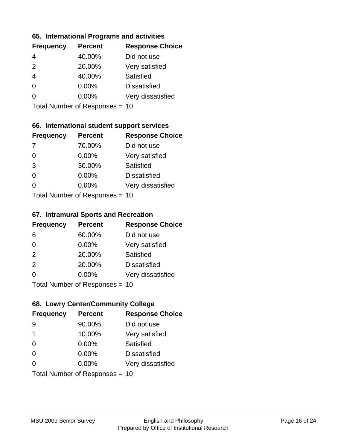### **65. International Programs and activities**

| <b>Frequency</b> | <b>Percent</b> | <b>Response Choice</b> |
|------------------|----------------|------------------------|
|                  | 40.00%         | Did not use            |
| $\mathcal{P}$    | 20.00%         | Very satisfied         |
| 4                | 40.00%         | Satisfied              |
| 0                | $0.00\%$       | <b>Dissatisfied</b>    |
|                  | $0.00\%$       | Very dissatisfied      |
|                  |                |                        |

Total Number of Responses = 10

## **66. International student support services**

| <b>Frequency</b> | <b>Percent</b>             | <b>Response Choice</b> |
|------------------|----------------------------|------------------------|
| -7               | 70.00%                     | Did not use            |
| $\Omega$         | 0.00%                      | Very satisfied         |
| 3                | 30.00%                     | Satisfied              |
| $\Omega$         | 0.00%                      | <b>Dissatisfied</b>    |
| ∩                | 0.00%                      | Very dissatisfied      |
|                  | Total Number of Deepersoon |                        |

Total Number of Responses = 10

#### **67. Intramural Sports and Recreation**

| <b>Frequency</b> | <b>Percent</b>                  | <b>Response Choice</b> |
|------------------|---------------------------------|------------------------|
| 6                | 60.00%                          | Did not use            |
| $\Omega$         | $0.00\%$                        | Very satisfied         |
| 2                | 20.00%                          | <b>Satisfied</b>       |
| 2                | 20.00%                          | <b>Dissatisfied</b>    |
| $\Omega$         | $0.00\%$                        | Very dissatisfied      |
|                  | $Total Number of Denonose = 10$ |                        |

Total Number of Responses = 10

## **68. Lowry Center/Community College**

| <b>Frequency</b> | <b>Percent</b>                 | <b>Response Choice</b> |
|------------------|--------------------------------|------------------------|
| 9                | 90.00%                         | Did not use            |
| 1                | 10.00%                         | Very satisfied         |
| $\Omega$         | 0.00%                          | Satisfied              |
| $\Omega$         | $0.00\%$                       | <b>Dissatisfied</b>    |
| ∩                | $0.00\%$                       | Very dissatisfied      |
|                  | Total Number of Responses = 10 |                        |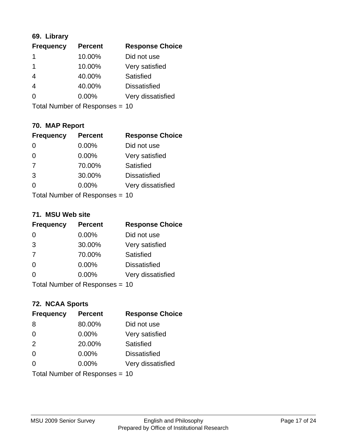## **69. Library**

| <b>Frequency</b> | <b>Percent</b> | <b>Response Choice</b> |
|------------------|----------------|------------------------|
|                  | 10.00%         | Did not use            |
| 1                | 10.00%         | Very satisfied         |
| 4                | 40.00%         | Satisfied              |
| $\overline{4}$   | 40.00%         | <b>Dissatisfied</b>    |
| 0                | $0.00\%$       | Very dissatisfied      |
|                  |                |                        |

Total Number of Responses = 10

## **70. MAP Report**

| <b>Frequency</b> | <b>Percent</b>                 | <b>Response Choice</b> |
|------------------|--------------------------------|------------------------|
|                  | 0.00%                          | Did not use            |
| $\overline{0}$   | 0.00%                          | Very satisfied         |
| 7                | 70.00%                         | Satisfied              |
| 3                | 30.00%                         | <b>Dissatisfied</b>    |
| 0                | $0.00\%$                       | Very dissatisfied      |
|                  | Total Number of Responses = 10 |                        |

#### **71. MSU Web site**

| <b>Frequency</b> | <b>Percent</b>                 | <b>Response Choice</b> |
|------------------|--------------------------------|------------------------|
| $\Omega$         | $0.00\%$                       | Did not use            |
| 3                | 30.00%                         | Very satisfied         |
| 7                | 70.00%                         | Satisfied              |
| $\Omega$         | 0.00%                          | <b>Dissatisfied</b>    |
| $\Omega$         | 0.00%                          | Very dissatisfied      |
|                  | Total Number of Responses = 10 |                        |

## **72. NCAA Sports**

| <b>Frequency</b> | <b>Percent</b>                 | <b>Response Choice</b> |
|------------------|--------------------------------|------------------------|
| 8                | 80.00%                         | Did not use            |
| $\Omega$         | 0.00%                          | Very satisfied         |
| 2                | 20.00%                         | Satisfied              |
| 0                | 0.00%                          | <b>Dissatisfied</b>    |
| $\Omega$         | 0.00%                          | Very dissatisfied      |
|                  | Total Number of Responses = 10 |                        |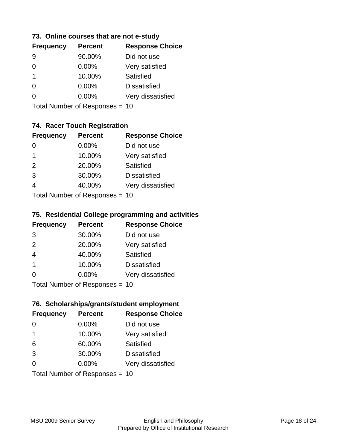### **73. Online courses that are not e-study**

| <b>Frequency</b> | <b>Percent</b> | <b>Response Choice</b> |
|------------------|----------------|------------------------|
|                  | 90.00%         | Did not use            |
|                  | $0.00\%$       | Very satisfied         |
| 1.               | 10.00%         | Satisfied              |
|                  | 0.00%          | <b>Dissatisfied</b>    |
|                  | $0.00\%$       | Very dissatisfied      |
|                  |                |                        |

Total Number of Responses = 10

## **74. Racer Touch Registration**

| <b>Frequency</b>          | <b>Percent</b> | <b>Response Choice</b> |
|---------------------------|----------------|------------------------|
| ∩                         | 0.00%          | Did not use            |
| 1                         | 10.00%         | Very satisfied         |
| 2                         | 20.00%         | <b>Satisfied</b>       |
| 3                         | 30.00%         | <b>Dissatisfied</b>    |
| 4                         | 40.00%         | Very dissatisfied      |
| Total Number of Desponses |                |                        |

Total Number of Responses = 10

### **75. Residential College programming and activities**

| <b>Frequency</b> | <b>Percent</b>            | <b>Response Choice</b> |
|------------------|---------------------------|------------------------|
| 3                | 30.00%                    | Did not use            |
| 2                | 20.00%                    | Very satisfied         |
| $\overline{4}$   | 40.00%                    | Satisfied              |
| -1               | 10.00%                    | <b>Dissatisfied</b>    |
| $\Omega$         | 0.00%                     | Very dissatisfied      |
|                  | Total Number of Desponses |                        |

Total Number of Responses = 10

### **76. Scholarships/grants/student employment**

| <b>Frequency</b> | <b>Percent</b>                 | <b>Response Choice</b> |
|------------------|--------------------------------|------------------------|
| 0                | 0.00%                          | Did not use            |
| 1                | 10.00%                         | Very satisfied         |
| 6                | 60.00%                         | Satisfied              |
| 3                | 30.00%                         | <b>Dissatisfied</b>    |
| $\Omega$         | $0.00\%$                       | Very dissatisfied      |
|                  | Total Number of Responses = 10 |                        |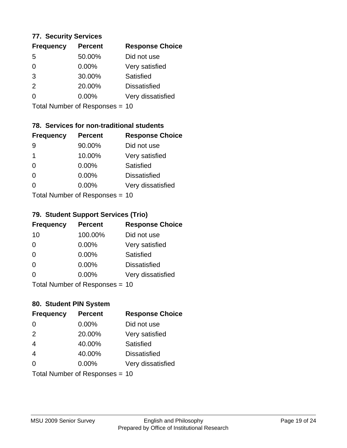### **77. Security Services**

| <b>Frequency</b> | <b>Percent</b> | <b>Response Choice</b> |
|------------------|----------------|------------------------|
| .5               | 50.00%         | Did not use            |
| 0                | 0.00%          | Very satisfied         |
| 3                | 30.00%         | Satisfied              |
| $\mathcal{P}$    | 20.00%         | <b>Dissatisfied</b>    |
| O                | 0.00%          | Very dissatisfied      |
|                  |                |                        |

Total Number of Responses = 10

## **78. Services for non-traditional students**

| <b>Frequency</b>          | <b>Percent</b> | <b>Response Choice</b> |
|---------------------------|----------------|------------------------|
| 9                         | 90.00%         | Did not use            |
| 1                         | 10.00%         | Very satisfied         |
| $\Omega$                  | $0.00\%$       | Satisfied              |
| $\Omega$                  | 0.00%          | <b>Dissatisfied</b>    |
| ∩                         | 0.00%          | Very dissatisfied      |
| Total Number of Desponses |                |                        |

Total Number of Responses = 10

### **79. Student Support Services (Trio)**

| <b>Frequency</b> | <b>Percent</b>                  | <b>Response Choice</b> |
|------------------|---------------------------------|------------------------|
| 10               | 100.00%                         | Did not use            |
| $\Omega$         | $0.00\%$                        | Very satisfied         |
| $\Omega$         | $0.00\%$                        | <b>Satisfied</b>       |
| $\Omega$         | 0.00%                           | <b>Dissatisfied</b>    |
| $\Omega$         | 0.00%                           | Very dissatisfied      |
|                  | $Total Number of Denonose = 10$ |                        |

Total Number of Responses = 10

## **80. Student PIN System**

| <b>Frequency</b> | <b>Percent</b>                 | <b>Response Choice</b> |
|------------------|--------------------------------|------------------------|
| 0                | 0.00%                          | Did not use            |
| 2                | 20.00%                         | Very satisfied         |
| $\overline{4}$   | 40.00%                         | <b>Satisfied</b>       |
| $\overline{4}$   | 40.00%                         | <b>Dissatisfied</b>    |
| $\Omega$         | 0.00%                          | Very dissatisfied      |
|                  | Total Number of Responses = 10 |                        |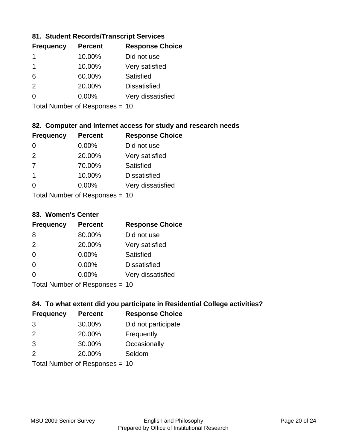## **81. Student Records/Transcript Services**

| <b>Frequency</b> | <b>Percent</b> | <b>Response Choice</b> |
|------------------|----------------|------------------------|
|                  | 10.00%         | Did not use            |
|                  | 10.00%         | Very satisfied         |
| 6                | 60.00%         | Satisfied              |
| $\mathcal{P}$    | 20.00%         | <b>Dissatisfied</b>    |
| ∩                | $0.00\%$       | Very dissatisfied      |

Total Number of Responses = 10

## **82. Computer and Internet access for study and research needs**

| <b>Frequency</b> | <b>Percent</b>            | <b>Response Choice</b> |
|------------------|---------------------------|------------------------|
| 0                | $0.00\%$                  | Did not use            |
| 2                | 20.00%                    | Very satisfied         |
| 7                | 70.00%                    | Satisfied              |
| -1               | 10.00%                    | <b>Dissatisfied</b>    |
| ∩                | 0.00%                     | Very dissatisfied      |
|                  | Total Number of Deepensee |                        |

Total Number of Responses = 10

### **83. Women's Center**

| <b>Frequency</b> | <b>Percent</b>            | <b>Response Choice</b> |
|------------------|---------------------------|------------------------|
| 8                | 80.00%                    | Did not use            |
| 2                | 20.00%                    | Very satisfied         |
| $\Omega$         | $0.00\%$                  | Satisfied              |
| $\Omega$         | $0.00\%$                  | <b>Dissatisfied</b>    |
| $\Omega$         | 0.00%                     | Very dissatisfied      |
|                  | Total Number of Deepensee |                        |

Total Number of Responses = 10

## **84. To what extent did you participate in Residential College activities?**

| <b>Frequency</b> | <b>Percent</b>            | <b>Response Choice</b> |
|------------------|---------------------------|------------------------|
| -3               | 30.00%                    | Did not participate    |
| $\mathcal{P}$    | 20.00%                    | Frequently             |
| 3                | 30.00%                    | Occasionally           |
| $\mathcal{P}$    | 20.00%                    | Seldom                 |
|                  | Total Number of Deepersee |                        |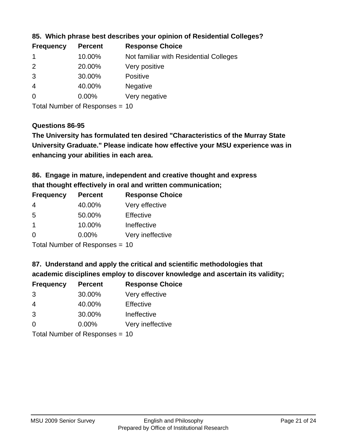| <b>Frequency</b> | <b>Percent</b> | <b>Response Choice</b>                 |
|------------------|----------------|----------------------------------------|
|                  | 10.00%         | Not familiar with Residential Colleges |
| $\overline{2}$   | 20.00%         | Very positive                          |
| 3                | 30.00%         | <b>Positive</b>                        |
| -4               | 40.00%         | <b>Negative</b>                        |
| -0               | $0.00\%$       | Very negative                          |
|                  |                |                                        |

### **85. Which phrase best describes your opinion of Residential Colleges?**

Total Number of Responses = 10

#### **Questions 86-95**

**University Graduate." Please indicate how effective your MSU experience was in The University has formulated ten desired "Characteristics of the Murray State enhancing your abilities in each area.**

**86. Engage in mature, independent and creative thought and express that thought effectively in oral and written communication;**

| <b>Percent</b> | <b>Response Choice</b> |
|----------------|------------------------|
| 40.00%         | Very effective         |
| 50.00%         | Effective              |
| 10.00%         | Ineffective            |
| $0.00\%$       | Very ineffective       |
|                |                        |

Total Number of Responses = 10

**87. Understand and apply the critical and scientific methodologies that** 

**academic disciplines employ to discover knowledge and ascertain its validity;**

| <b>Frequency</b> | <b>Percent</b>                                                                                                                                                                                                                 | <b>Response Choice</b> |
|------------------|--------------------------------------------------------------------------------------------------------------------------------------------------------------------------------------------------------------------------------|------------------------|
| 3                | 30.00%                                                                                                                                                                                                                         | Very effective         |
| 4                | 40.00%                                                                                                                                                                                                                         | Effective              |
| 3                | 30.00%                                                                                                                                                                                                                         | Ineffective            |
| $\Omega$         | 0.00%                                                                                                                                                                                                                          | Very ineffective       |
|                  | The INDIAN Contract Contract in the Contract of The Contract of The Contract of The Contract of The Contract of The Contract of The Contract of The Contract of The Contract of The Contract of The Contract of The Contract o |                        |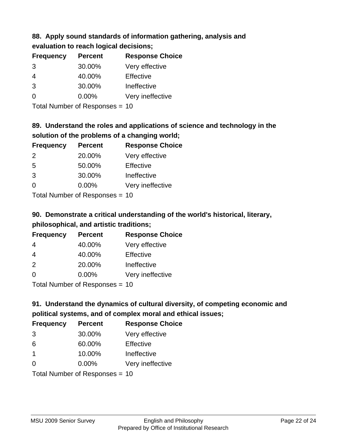### **88. Apply sound standards of information gathering, analysis and evaluation to reach logical decisions;**

| <b>Frequency</b> | <b>Percent</b> | <b>Response Choice</b> |
|------------------|----------------|------------------------|
| 3                | 30.00%         | Very effective         |
| $\overline{4}$   | 40.00%         | Effective              |
| 3                | 30.00%         | Ineffective            |
| $\Omega$         | 0.00%          | Very ineffective       |
|                  |                |                        |

Total Number of Responses = 10

## **89. Understand the roles and applications of science and technology in the solution of the problems of a changing world;**

| <b>Frequency</b> | <b>Percent</b>             | <b>Response Choice</b> |
|------------------|----------------------------|------------------------|
| 2                | 20.00%                     | Very effective         |
| 5                | 50.00%                     | Effective              |
| 3                | 30.00%                     | Ineffective            |
| $\Omega$         | 0.00%                      | Very ineffective       |
|                  | Tatal Number of Desperance |                        |

Total Number of Responses = 10

# **90. Demonstrate a critical understanding of the world's historical, literary, philosophical, and artistic traditions;**

| <b>Frequency</b> | <b>Percent</b> | <b>Response Choice</b> |
|------------------|----------------|------------------------|
| 4                | 40.00%         | Very effective         |
| $\overline{4}$   | 40.00%         | Effective              |
| 2                | 20.00%         | Ineffective            |
| $\Omega$         | 0.00%          | Very ineffective       |
|                  |                |                        |

Total Number of Responses = 10

# **91. Understand the dynamics of cultural diversity, of competing economic and political systems, and of complex moral and ethical issues;**

| <b>Frequency</b>               | <b>Percent</b> | <b>Response Choice</b> |
|--------------------------------|----------------|------------------------|
| 3                              | 30.00%         | Very effective         |
| 6                              | 60.00%         | Effective              |
| $\mathbf 1$                    | 10.00%         | Ineffective            |
| $\Omega$                       | 0.00%          | Very ineffective       |
| Total Number of Responses = 10 |                |                        |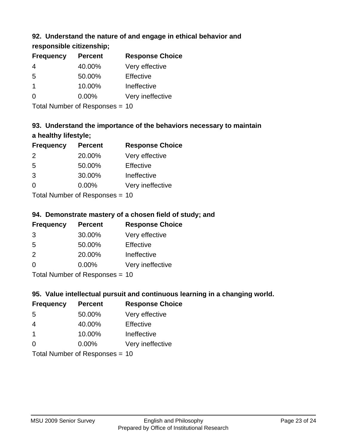## **92. Understand the nature of and engage in ethical behavior and**

## **responsible citizenship;**

| <b>Frequency</b> | <b>Percent</b> | <b>Response Choice</b> |
|------------------|----------------|------------------------|
|                  | 40.00%         | Very effective         |
| 5                | 50.00%         | Effective              |
| 1                | 10.00%         | Ineffective            |
|                  | $0.00\%$       | Very ineffective       |
|                  |                |                        |

Total Number of Responses = 10

# **93. Understand the importance of the behaviors necessary to maintain a healthy lifestyle;**

| <b>Frequency</b>           | <b>Percent</b> | <b>Response Choice</b> |
|----------------------------|----------------|------------------------|
| $\mathcal{P}$              | 20.00%         | Very effective         |
| 5                          | 50.00%         | Effective              |
| 3                          | 30.00%         | Ineffective            |
| $\Omega$                   | 0.00%          | Very ineffective       |
| Tatal Number of Desperance |                |                        |

Total Number of Responses = 10

## **94. Demonstrate mastery of a chosen field of study; and**

| <b>Frequency</b> | <b>Percent</b> | <b>Response Choice</b> |
|------------------|----------------|------------------------|
| 3                | 30.00%         | Very effective         |
| 5                | 50.00%         | Effective              |
| $\mathcal{P}$    | 20.00%         | Ineffective            |
| $\Omega$         | 0.00%          | Very ineffective       |
|                  |                |                        |

Total Number of Responses = 10

## **95. Value intellectual pursuit and continuous learning in a changing world.**

| <b>Frequency</b>           | <b>Percent</b> | <b>Response Choice</b> |
|----------------------------|----------------|------------------------|
| -5                         | 50.00%         | Very effective         |
| 4                          | 40.00%         | Effective              |
| $\overline{1}$             | 10.00%         | Ineffective            |
| $\Omega$                   | 0.00%          | Very ineffective       |
| Tatal Manakan af Dagmannar |                |                        |